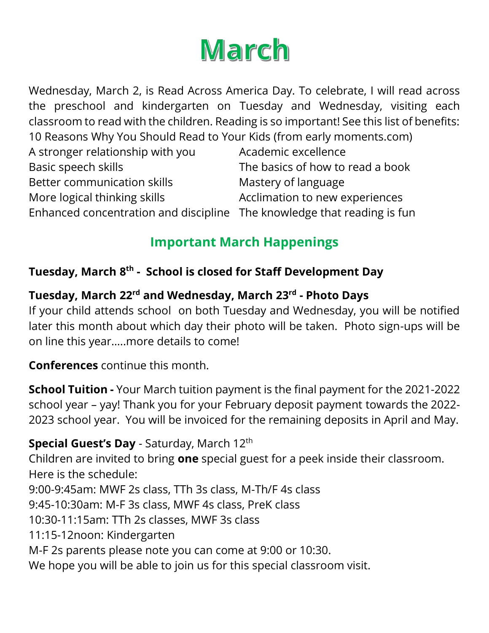# March

Wednesday, March 2, is Read Across America Day. To celebrate, I will read across the preschool and kindergarten on Tuesday and Wednesday, visiting each classroom to read with the children. Reading is so important! See this list of benefits: 10 Reasons Why You Should Read to Your Kids (from early moments.com)

| A stronger relationship with you                                        | Academic excellence              |
|-------------------------------------------------------------------------|----------------------------------|
| Basic speech skills                                                     | The basics of how to read a book |
| Better communication skills                                             | Mastery of language              |
| More logical thinking skills                                            | Acclimation to new experiences   |
| Enhanced concentration and discipline The knowledge that reading is fun |                                  |

### **Important March Happenings**

#### **Tuesday, March 8 th - School is closed for Staff Development Day**

#### **Tuesday, March 22 rd and Wednesday, March 23 rd - Photo Days**

If your child attends school on both Tuesday and Wednesday, you will be notified later this month about which day their photo will be taken. Photo sign-ups will be on line this year…..more details to come!

**Conferences** continue this month.

**School Tuition -** Your March tuition payment is the final payment for the 2021-2022 school year – yay! Thank you for your February deposit payment towards the 2022- 2023 school year. You will be invoiced for the remaining deposits in April and May.

**Special Guest's Day** - Saturday, March 12<sup>th</sup> Children are invited to bring **one** special guest for a peek inside their classroom. Here is the schedule: 9:00-9:45am: MWF 2s class, TTh 3s class, M-Th/F 4s class 9:45-10:30am: M-F 3s class, MWF 4s class, PreK class 10:30-11:15am: TTh 2s classes, MWF 3s class 11:15-12noon: Kindergarten M-F 2s parents please note you can come at 9:00 or 10:30. We hope you will be able to join us for this special classroom visit.